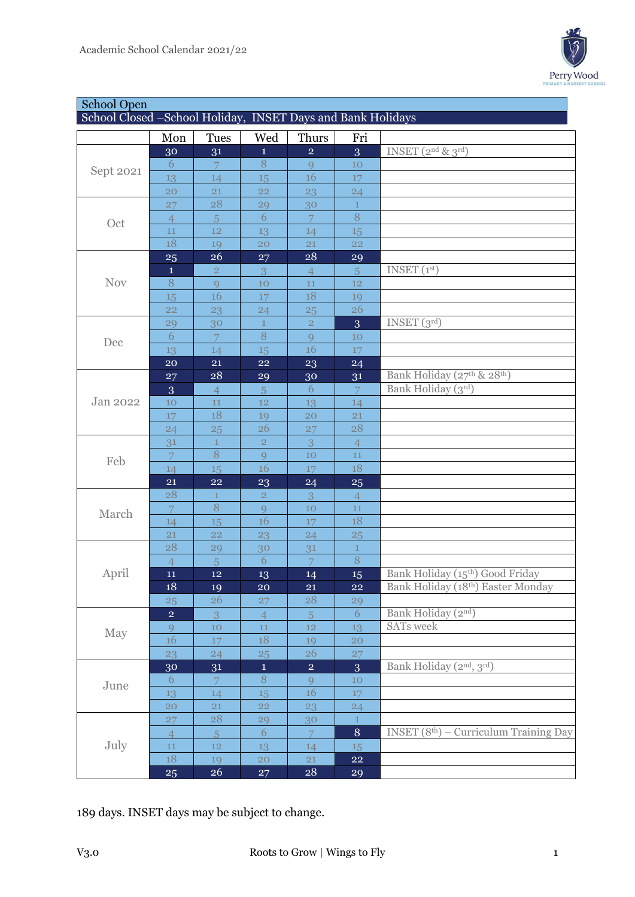

| <b>School Open</b>                                          |                 |                     |                   |                      |                          |                                                                      |  |  |  |
|-------------------------------------------------------------|-----------------|---------------------|-------------------|----------------------|--------------------------|----------------------------------------------------------------------|--|--|--|
| School Closed -School Holiday, INSET Days and Bank Holidays |                 |                     |                   |                      |                          |                                                                      |  |  |  |
|                                                             | Mon             | <b>Tues</b>         | Wed               | Thurs                | Fri                      |                                                                      |  |  |  |
| Sept 2021                                                   | 30              | 31                  | $\mathbf{1}$      | $\overline{2}$       | 3                        | INSET $(2^{nd} \& 3^{rd})$                                           |  |  |  |
|                                                             | 6               | 7                   | 8                 | 9                    | 10                       |                                                                      |  |  |  |
|                                                             | 13              | 14                  | 15                | 16                   | 17                       |                                                                      |  |  |  |
|                                                             | 20              | 21                  | 22                | 23                   | 24                       |                                                                      |  |  |  |
| Oct                                                         | 27              | 28                  | 29                | 30                   | $\mathbf{1}$             |                                                                      |  |  |  |
|                                                             | $\overline{4}$  | 5                   | 6                 | 7                    | 8                        |                                                                      |  |  |  |
|                                                             | 11              | 12                  | 13                | 14                   | 15                       |                                                                      |  |  |  |
|                                                             | 18              | 19                  | 20                | 21                   | 22                       |                                                                      |  |  |  |
|                                                             | 25              | 26                  | 27                | 28                   | 29                       |                                                                      |  |  |  |
|                                                             | $\mathbf{1}$    | $\overline{2}$      | 3                 | 4                    | $\overline{5}$           | INSET $(1st)$                                                        |  |  |  |
| <b>Nov</b>                                                  | 8               | 9                   | 10                | 11                   | 12                       |                                                                      |  |  |  |
|                                                             | 15              | 16                  | 17                | 18                   | 19                       |                                                                      |  |  |  |
|                                                             | 22              | 23                  | 24                | 25                   | 26                       |                                                                      |  |  |  |
|                                                             | 29              | 30                  | $\mathbf{1}$      | $\overline{2}$       | 3                        | INSET(3 <sup>rd</sup> )                                              |  |  |  |
| Dec                                                         | 6               | 7                   | 8                 | $\mathbf Q$          | 10                       |                                                                      |  |  |  |
|                                                             | 13              | 14                  | 15                | 16                   | 17                       |                                                                      |  |  |  |
|                                                             | 20              | 21                  | 22                | 23                   | 24                       |                                                                      |  |  |  |
|                                                             | 27              | 28                  | 29                | 30                   | 31                       | Bank Holiday (27th & 28th)                                           |  |  |  |
|                                                             | 3               | $\overline{4}$      | 5                 | 6                    | $\overline{7}$           | Bank Holiday (3rd)                                                   |  |  |  |
| Jan 2022                                                    | 10              | 11                  | 12                | 13                   | 14                       |                                                                      |  |  |  |
|                                                             | 17              | 18                  | 19                | 20                   | 21                       |                                                                      |  |  |  |
|                                                             | $\overline{24}$ | 25                  | 26                | 27                   | 28                       |                                                                      |  |  |  |
|                                                             | 31              | $\mathbf{1}$        | $\overline{2}$    | 3                    | $\overline{4}$           |                                                                      |  |  |  |
| Feb                                                         | 7               | 8                   | 9                 | 10                   | 11                       |                                                                      |  |  |  |
|                                                             | 14              | 15                  | 16                | 17                   | 18                       |                                                                      |  |  |  |
|                                                             | 21              | 22                  | 23                | 24                   | 25                       |                                                                      |  |  |  |
|                                                             | 28              | 1                   | $\overline{2}$    | 3                    | $\overline{4}$           |                                                                      |  |  |  |
| March                                                       | 7               | $8\,$               | 9                 | 10                   | 11                       |                                                                      |  |  |  |
|                                                             | 14              | 15                  | 16                | 17                   | 18                       |                                                                      |  |  |  |
|                                                             | 21              | <b>22</b>           | 23                | 24                   | 25                       |                                                                      |  |  |  |
| April                                                       | 28              | 29                  | 30                | 31                   | $\mathbf{1}$             |                                                                      |  |  |  |
|                                                             | $\overline{4}$  | $\overline{5}$      | $\boldsymbol{6}$  | $\overline{7}$       | 8                        |                                                                      |  |  |  |
|                                                             | ${\bf 11}$      | $12\phantom{.0}$    | 13                | 14                   | $15\phantom{.}$          | Bank Holiday (15th) Good Friday<br>Bank Holiday (18th) Easter Monday |  |  |  |
|                                                             | 18              | 19                  | 20                | 21                   | <b>22</b>                |                                                                      |  |  |  |
| May                                                         | 25              | 26                  | 27                | 28                   | 29<br>6                  | Bank Holiday (2nd)                                                   |  |  |  |
|                                                             | $\overline{2}$  | 3                   | $\overline{4}$    | 5 <sup>1</sup><br>12 |                          | <b>SATs</b> week                                                     |  |  |  |
|                                                             | 9<br>16         | 10<br>17            | $11\,$<br>18      |                      | 13<br>20                 |                                                                      |  |  |  |
|                                                             |                 | 24                  |                   | 19<br>26             |                          |                                                                      |  |  |  |
| June                                                        | 23              |                     | 25<br>$\mathbf 1$ | $\overline{2}$       | 27                       | Bank Holiday (2nd, 3rd)                                              |  |  |  |
|                                                             | 30<br>6         | 31                  | $8\,$             | 9                    | 3 <sup>1</sup><br>$10\,$ |                                                                      |  |  |  |
|                                                             | 13              | $\mathcal{I}$<br>14 | 15                | 16                   | 17                       |                                                                      |  |  |  |
|                                                             | 20              | 21                  | 22                | 23                   | 24                       |                                                                      |  |  |  |
| July                                                        | 27              | 28                  | 29                | 30                   | $\mathbf{1}$             |                                                                      |  |  |  |
|                                                             | $\overline{4}$  | 5 <sup>1</sup>      | $\overline{6}$    | $\overline{7}$       | 8                        | $INSET (8th) - Curriculum Training Day$                              |  |  |  |
|                                                             | 11              | 12                  | 13                | 14                   | 15                       |                                                                      |  |  |  |
|                                                             | 18              | 19                  | 20                | 21                   | ${\bf 22}$               |                                                                      |  |  |  |
|                                                             | 25              | 26                  | 27 <sub>2</sub>   | 28                   | 29                       |                                                                      |  |  |  |

days. INSET days may be subject to change.